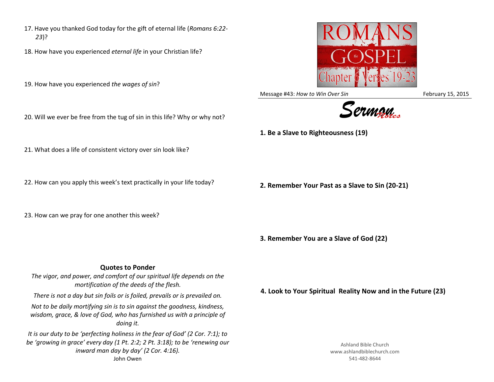- 17. Have you thanked God today for the gift of eternal life (*Romans 6:22- 23*)?
- 18. How have you experienced *eternal life* in your Christian life?
- 19. How have you experienced *the wages of sin*?
- 20. Will we ever be free from the tug of sin in this life? Why or why not?
- 21. What does a life of consistent victory over sin look like?
- 22. How can you apply this week's text practically in your life today?
- 23. How can we pray for one another this week?

## **Quotes to Ponder**

*The vigor, and power, and comfort of our spiritual life depends on the mortification of the deeds of the flesh. There is not a day but sin foils or is foiled, prevails or is prevailed on.*

*Not to be daily mortifying sin is to sin against the goodness, kindness, wisdom, grace, & love of God, who has furnished us with a principle of doing it.*

*It is our duty to be 'perfecting holiness in the fear of God' (2 Cor. 7:1); to be 'growing in grace' every day (1 Pt. 2:2; 2 Pt. 3:18); to be 'renewing our inward man day by day' (2 Cor. 4:16).*  John Owen

Ashland Bible Church www.ashlandbiblechurch.com 541-482-8644



Message #43: *How to Win Over Sin* February 15, 2015



**1. Be a Slave to Righteousness (19)**

**2. Remember Your Past as a Slave to Sin (20-21)**

**3. Remember You are a Slave of God (22)**

**4. Look to Your Spiritual Reality Now and in the Future (23)**